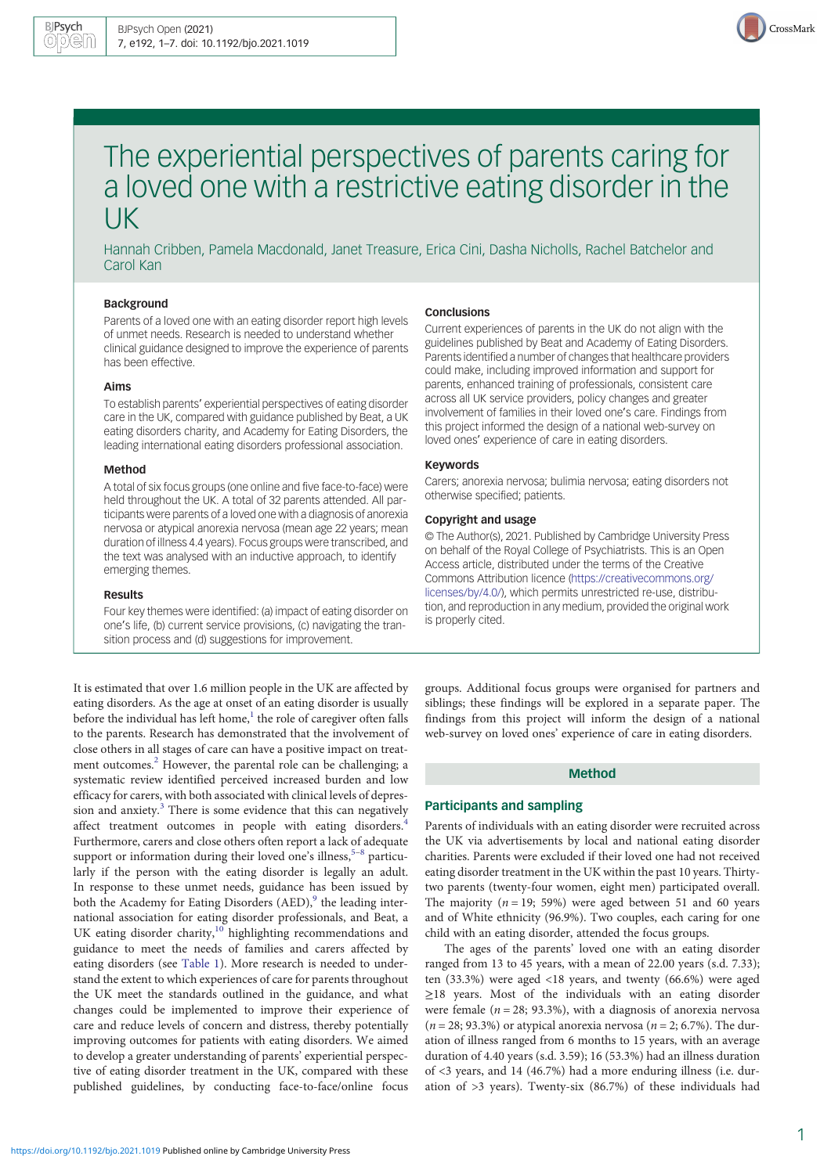

# The experiential perspectives of parents caring for a loved one with a restrictive eating disorder in the UK

Hannah Cribben, Pamela Macdonald, Janet Treasure, Erica Cini, Dasha Nicholls, Rachel Batchelor and Carol Kan

## Background

Parents of a loved one with an eating disorder report high levels of unmet needs. Research is needed to understand whether clinical guidance designed to improve the experience of parents has been effective.

# Aims

To establish parents' experiential perspectives of eating disorder care in the UK, compared with guidance published by Beat, a UK eating disorders charity, and Academy for Eating Disorders, the leading international eating disorders professional association.

# Method

A total of six focus groups (one online and five face-to-face) were held throughout the UK. A total of 32 parents attended. All participants were parents of a loved one with a diagnosis of anorexia nervosa or atypical anorexia nervosa (mean age 22 years; mean duration of illness 4.4 years). Focus groups were transcribed, and the text was analysed with an inductive approach, to identify emerging themes.

### Results

Four key themes were identified: (a) impact of eating disorder on one's life, (b) current service provisions, (c) navigating the transition process and (d) suggestions for improvement.

It is estimated that over 1.6 million people in the UK are affected by eating disorders. As the age at onset of an eating disorder is usually before the individual has left home, $<sup>1</sup>$  $<sup>1</sup>$  $<sup>1</sup>$  the role of caregiver often falls</sup> to the parents. Research has demonstrated that the involvement of close others in all stages of care can have a positive impact on treat-ment outcomes.<sup>[2](#page-6-0)</sup> However, the parental role can be challenging; a systematic review identified perceived increased burden and low efficacy for carers, with both associated with clinical levels of depression and anxiety. $3$  There is some evidence that this can negatively affect treatment outcomes in people with eating disorders.<sup>[4](#page-6-0)</sup> Furthermore, carers and close others often report a lack of adequate support or information during their loved one's illness,  $5-8$  $5-8$  $5-8$  particularly if the person with the eating disorder is legally an adult. In response to these unmet needs, guidance has been issued by both the Academy for Eating Disorders (AED),<sup>[9](#page-6-0)</sup> the leading international association for eating disorder professionals, and Beat, a UK eating disorder charity,<sup>[10](#page-6-0)</sup> highlighting recommendations and guidance to meet the needs of families and carers affected by eating disorders (see [Table 1](#page-1-0)). More research is needed to understand the extent to which experiences of care for parents throughout the UK meet the standards outlined in the guidance, and what changes could be implemented to improve their experience of care and reduce levels of concern and distress, thereby potentially improving outcomes for patients with eating disorders. We aimed to develop a greater understanding of parents' experiential perspective of eating disorder treatment in the UK, compared with these published guidelines, by conducting face-to-face/online focus

#### Conclusions

Current experiences of parents in the UK do not align with the guidelines published by Beat and Academy of Eating Disorders. Parents identified a number of changes that healthcare providers could make, including improved information and support for parents, enhanced training of professionals, consistent care across all UK service providers, policy changes and greater involvement of families in their loved one's care. Findings from this project informed the design of a national web-survey on loved ones' experience of care in eating disorders.

#### Keywords

Carers; anorexia nervosa; bulimia nervosa; eating disorders not otherwise specified; patients.

### Copyright and usage

© The Author(s), 2021. Published by Cambridge University Press on behalf of the Royal College of Psychiatrists. This is an Open Access article, distributed under the terms of the Creative Commons Attribution licence [\(https://creativecommons.org/](https://creativecommons.org/licenses/by/4.0/) [licenses/by/4.0/](https://creativecommons.org/licenses/by/4.0/)), which permits unrestricted re-use, distribution, and reproduction in any medium, provided the original work is properly cited.

groups. Additional focus groups were organised for partners and siblings; these findings will be explored in a separate paper. The findings from this project will inform the design of a national web-survey on loved ones' experience of care in eating disorders.

# Method

# Participants and sampling

Parents of individuals with an eating disorder were recruited across the UK via advertisements by local and national eating disorder charities. Parents were excluded if their loved one had not received eating disorder treatment in the UK within the past 10 years. Thirtytwo parents (twenty-four women, eight men) participated overall. The majority ( $n = 19$ ; 59%) were aged between 51 and 60 years and of White ethnicity (96.9%). Two couples, each caring for one child with an eating disorder, attended the focus groups.

The ages of the parents' loved one with an eating disorder ranged from 13 to 45 years, with a mean of 22.00 years (s.d. 7.33); ten (33.3%) were aged <18 years, and twenty (66.6%) were aged ≥18 years. Most of the individuals with an eating disorder were female ( $n = 28$ ; 93.3%), with a diagnosis of anorexia nervosa  $(n = 28; 93.3%)$  or atypical anorexia nervosa  $(n = 2; 6.7%).$  The duration of illness ranged from 6 months to 15 years, with an average duration of 4.40 years (s.d. 3.59); 16 (53.3%) had an illness duration of <3 years, and 14 (46.7%) had a more enduring illness (i.e. duration of >3 years). Twenty-six (86.7%) of these individuals had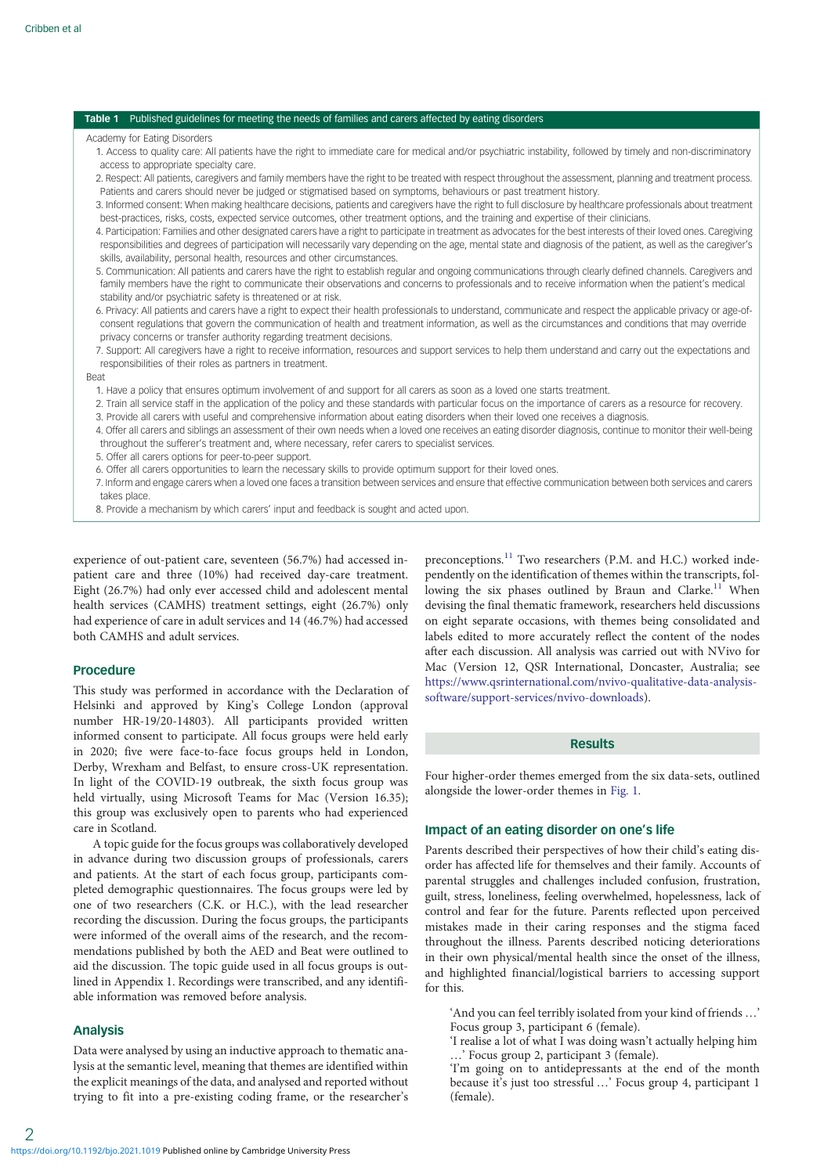<span id="page-1-0"></span>

| Table 1 Published guidelines for meeting the needs of families and carers affected by eating disorders                                                                                                                                                                                                |
|-------------------------------------------------------------------------------------------------------------------------------------------------------------------------------------------------------------------------------------------------------------------------------------------------------|
| Academy for Eating Disorders                                                                                                                                                                                                                                                                          |
| 1. Access to quality care: All patients have the right to immediate care for medical and/or psychiatric instability, followed by timely and non-discriminatory                                                                                                                                        |
| access to appropriate specialty care.                                                                                                                                                                                                                                                                 |
| 2. Respect: All patients, caregivers and family members have the right to be treated with respect throughout the assessment, planning and treatment process.<br>Patients and carers should never be judged or stigmatised based on symptoms, behaviours or past treatment history.                    |
| 3. Informed consent: When making healthcare decisions, patients and caregivers have the right to full disclosure by healthcare professionals about treatment<br>best-practices, risks, costs, expected service outcomes, other treatment options, and the training and expertise of their clinicians. |
| 4. Participation: Families and other designated carers have a right to participate in treatment as advocates for the best interests of their loved ones. Caregiving                                                                                                                                   |
| responsibilities and degrees of participation will necessarily vary depending on the age, mental state and diagnosis of the patient, as well as the caregiver's<br>skills, availability, personal health, resources and other circumstances.                                                          |
| 5. Communication: All patients and carers have the right to establish regular and ongoing communications through clearly defined channels. Caregivers and                                                                                                                                             |
| family members have the right to communicate their observations and concerns to professionals and to receive information when the patient's medical<br>stability and/or psychiatric safety is threatened or at risk.                                                                                  |
| 6. Privacy: All patients and carers have a right to expect their health professionals to understand, communicate and respect the applicable privacy or age-of-                                                                                                                                        |
| consent regulations that govern the communication of health and treatment information, as well as the circumstances and conditions that may override<br>privacy concerns or transfer authority regarding treatment decisions.                                                                         |
| 7. Support: All caregivers have a right to receive information, resources and support services to help them understand and carry out the expectations and                                                                                                                                             |
| responsibilities of their roles as partners in treatment.                                                                                                                                                                                                                                             |
| Beat                                                                                                                                                                                                                                                                                                  |
| 1. Have a policy that ensures optimum involvement of and support for all carers as soon as a loved one starts treatment.                                                                                                                                                                              |
| 2. Train all service staff in the application of the policy and these standards with particular focus on the importance of carers as a resource for recovery.                                                                                                                                         |
| 3. Provide all carers with useful and comprehensive information about eating disorders when their loved one receives a diagnosis.                                                                                                                                                                     |
| 4. Offer all carers and siblings an assessment of their own needs when a loved one receives an eating disorder diagnosis, continue to monitor their well-being                                                                                                                                        |
| throughout the sufferer's treatment and, where necessary, refer carers to specialist services.                                                                                                                                                                                                        |
| 5. Offer all carers options for peer-to-peer support.                                                                                                                                                                                                                                                 |
| 6. Offer all carers opportunities to learn the necessary skills to provide optimum support for their loved ones.                                                                                                                                                                                      |
| 7. Inform and engage carers when a loved one faces a transition between services and ensure that effective communication between both services and carers                                                                                                                                             |

- takes place.
- 8. Provide a mechanism by which carers' input and feedback is sought and acted upon.

experience of out-patient care, seventeen (56.7%) had accessed inpatient care and three (10%) had received day-care treatment. Eight (26.7%) had only ever accessed child and adolescent mental health services (CAMHS) treatment settings, eight (26.7%) only had experience of care in adult services and 14 (46.7%) had accessed both CAMHS and adult services.

## Procedure

This study was performed in accordance with the Declaration of Helsinki and approved by King's College London (approval number HR-19/20-14803). All participants provided written informed consent to participate. All focus groups were held early in 2020; five were face-to-face focus groups held in London, Derby, Wrexham and Belfast, to ensure cross-UK representation. In light of the COVID-19 outbreak, the sixth focus group was held virtually, using Microsoft Teams for Mac (Version 16.35); this group was exclusively open to parents who had experienced care in Scotland.

A topic guide for the focus groups was collaboratively developed in advance during two discussion groups of professionals, carers and patients. At the start of each focus group, participants completed demographic questionnaires. The focus groups were led by one of two researchers (C.K. or H.C.), with the lead researcher recording the discussion. During the focus groups, the participants were informed of the overall aims of the research, and the recommendations published by both the AED and Beat were outlined to aid the discussion. The topic guide used in all focus groups is outlined in Appendix 1. Recordings were transcribed, and any identifiable information was removed before analysis.

# Analysis

Data were analysed by using an inductive approach to thematic analysis at the semantic level, meaning that themes are identified within the explicit meanings of the data, and analysed and reported without trying to fit into a pre-existing coding frame, or the researcher's

preconceptions.<sup>[11](#page-6-0)</sup> Two researchers (P.M. and H.C.) worked independently on the identification of themes within the transcripts, fol-lowing the six phases outlined by Braun and Clarke.<sup>[11](#page-6-0)</sup> When devising the final thematic framework, researchers held discussions on eight separate occasions, with themes being consolidated and labels edited to more accurately reflect the content of the nodes after each discussion. All analysis was carried out with NVivo for Mac (Version 12, QSR International, Doncaster, Australia; see [https://www.qsrinternational.com/nvivo-qualitative-data-analysis](https://www.qsrinternational.com/nvivo-qualitative-data-analysis-software/support-services/nvivo-downloads)[software/support-services/nvivo-downloads](https://www.qsrinternational.com/nvivo-qualitative-data-analysis-software/support-services/nvivo-downloads)).

# Results

Four higher-order themes emerged from the six data-sets, outlined alongside the lower-order themes in [Fig. 1](#page-2-0).

# Impact of an eating disorder on one's life

Parents described their perspectives of how their child's eating disorder has affected life for themselves and their family. Accounts of parental struggles and challenges included confusion, frustration, guilt, stress, loneliness, feeling overwhelmed, hopelessness, lack of control and fear for the future. Parents reflected upon perceived mistakes made in their caring responses and the stigma faced throughout the illness. Parents described noticing deteriorations in their own physical/mental health since the onset of the illness, and highlighted financial/logistical barriers to accessing support for this.

'And you can feel terribly isolated from your kind of friends …' Focus group 3, participant 6 (female).

'I realise a lot of what I was doing wasn't actually helping him …' Focus group 2, participant 3 (female).

'I'm going on to antidepressants at the end of the month because it's just too stressful …' Focus group 4, participant 1 (female).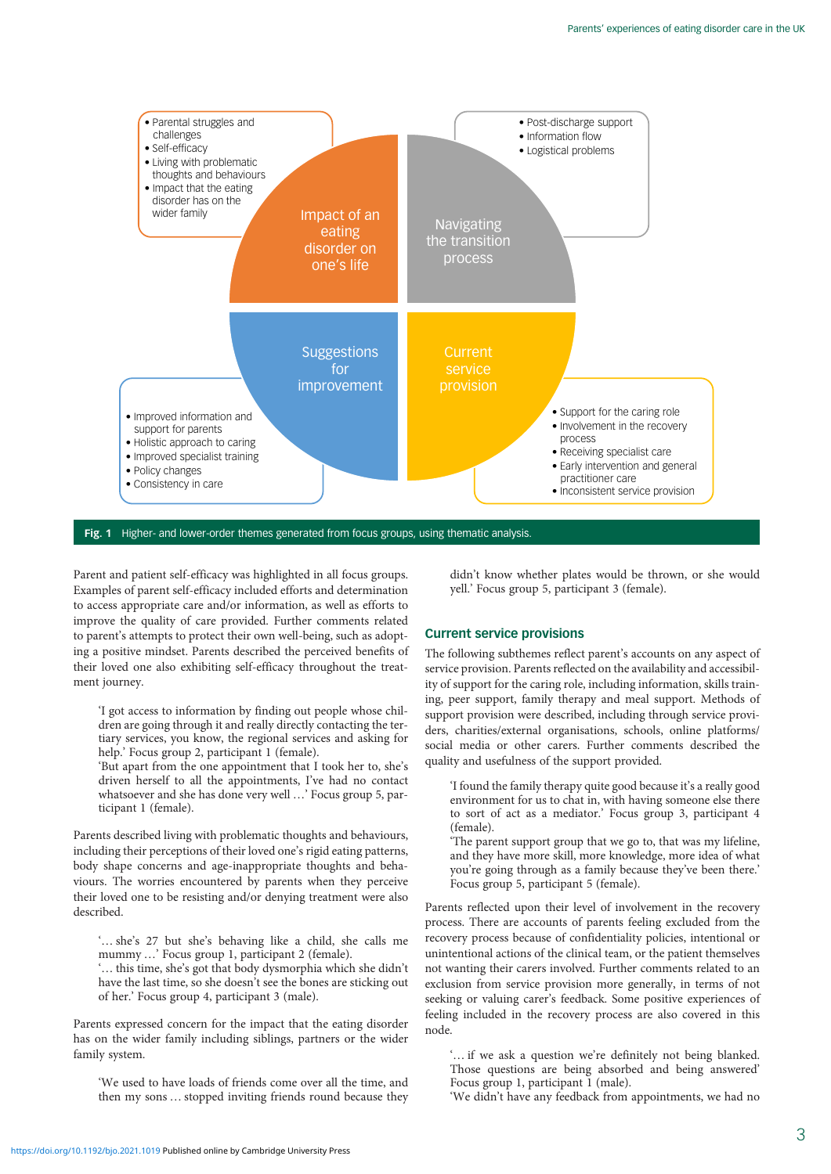<span id="page-2-0"></span>

Fig. 1 Higher- and lower-order themes generated from focus groups, using thematic analysis.

Parent and patient self-efficacy was highlighted in all focus groups. Examples of parent self-efficacy included efforts and determination to access appropriate care and/or information, as well as efforts to improve the quality of care provided. Further comments related to parent's attempts to protect their own well-being, such as adopting a positive mindset. Parents described the perceived benefits of their loved one also exhibiting self-efficacy throughout the treatment journey.

'I got access to information by finding out people whose children are going through it and really directly contacting the tertiary services, you know, the regional services and asking for help.' Focus group 2, participant 1 (female).

'But apart from the one appointment that I took her to, she's driven herself to all the appointments, I've had no contact whatsoever and she has done very well …' Focus group 5, participant 1 (female).

Parents described living with problematic thoughts and behaviours, including their perceptions of their loved one's rigid eating patterns, body shape concerns and age-inappropriate thoughts and behaviours. The worries encountered by parents when they perceive their loved one to be resisting and/or denying treatment were also described.

'… she's 27 but she's behaving like a child, she calls me mummy ...' Focus group 1, participant 2 (female).

'… this time, she's got that body dysmorphia which she didn't have the last time, so she doesn't see the bones are sticking out of her.' Focus group 4, participant 3 (male).

Parents expressed concern for the impact that the eating disorder has on the wider family including siblings, partners or the wider family system.

'We used to have loads of friends come over all the time, and then my sons … stopped inviting friends round because they didn't know whether plates would be thrown, or she would yell.' Focus group 5, participant 3 (female).

# Current service provisions

The following subthemes reflect parent's accounts on any aspect of service provision. Parents reflected on the availability and accessibility of support for the caring role, including information, skills training, peer support, family therapy and meal support. Methods of support provision were described, including through service providers, charities/external organisations, schools, online platforms/ social media or other carers. Further comments described the quality and usefulness of the support provided.

'I found the family therapy quite good because it's a really good environment for us to chat in, with having someone else there to sort of act as a mediator.' Focus group 3, participant 4 (female).

'The parent support group that we go to, that was my lifeline, and they have more skill, more knowledge, more idea of what you're going through as a family because they've been there.' Focus group 5, participant 5 (female).

Parents reflected upon their level of involvement in the recovery process. There are accounts of parents feeling excluded from the recovery process because of confidentiality policies, intentional or unintentional actions of the clinical team, or the patient themselves not wanting their carers involved. Further comments related to an exclusion from service provision more generally, in terms of not seeking or valuing carer's feedback. Some positive experiences of feeling included in the recovery process are also covered in this node.

... if we ask a question we're definitely not being blanked. Those questions are being absorbed and being answered' Focus group 1, participant 1 (male).

'We didn't have any feedback from appointments, we had no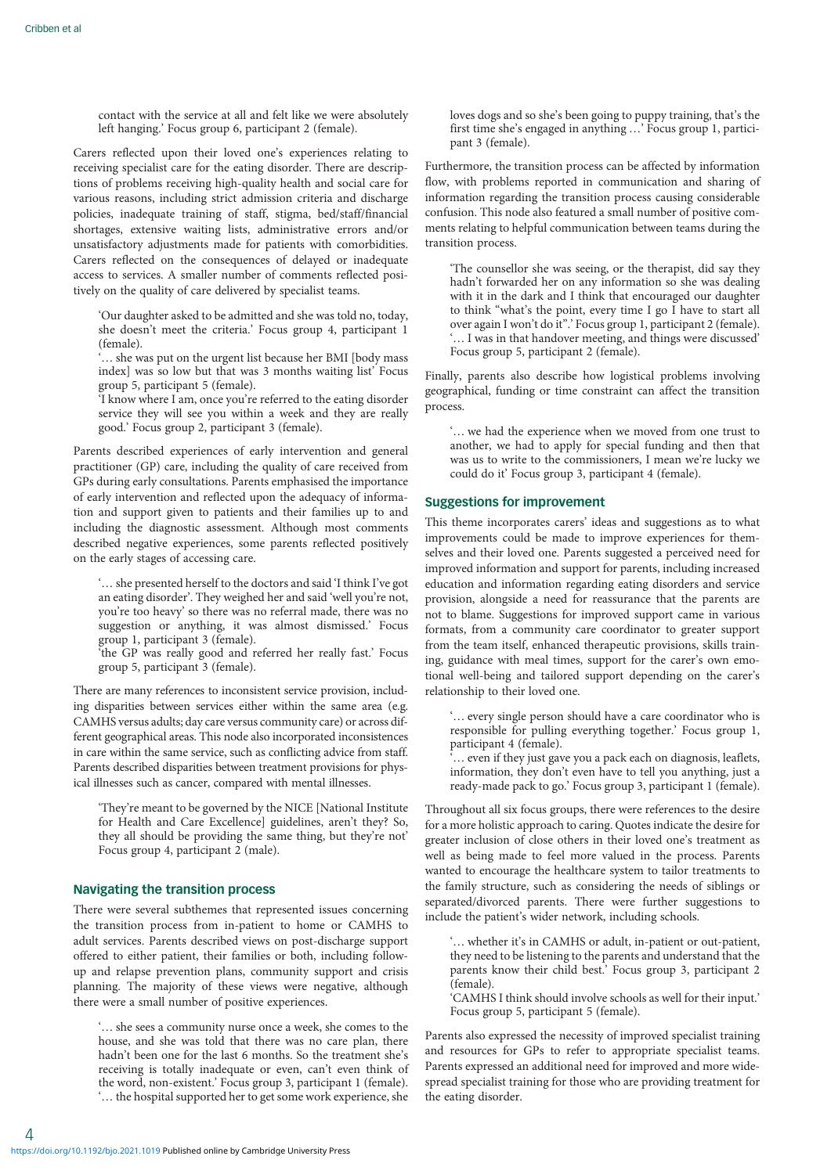contact with the service at all and felt like we were absolutely left hanging.' Focus group 6, participant 2 (female).

Carers reflected upon their loved one's experiences relating to receiving specialist care for the eating disorder. There are descriptions of problems receiving high-quality health and social care for various reasons, including strict admission criteria and discharge policies, inadequate training of staff, stigma, bed/staff/financial shortages, extensive waiting lists, administrative errors and/or unsatisfactory adjustments made for patients with comorbidities. Carers reflected on the consequences of delayed or inadequate access to services. A smaller number of comments reflected positively on the quality of care delivered by specialist teams.

'Our daughter asked to be admitted and she was told no, today, she doesn't meet the criteria.' Focus group 4, participant 1 (female).

... she was put on the urgent list because her BMI [body mass index] was so low but that was 3 months waiting list' Focus group 5, participant 5 (female).

'I know where I am, once you're referred to the eating disorder service they will see you within a week and they are really good.' Focus group 2, participant 3 (female).

Parents described experiences of early intervention and general practitioner (GP) care, including the quality of care received from GPs during early consultations. Parents emphasised the importance of early intervention and reflected upon the adequacy of information and support given to patients and their families up to and including the diagnostic assessment. Although most comments described negative experiences, some parents reflected positively on the early stages of accessing care.

'… she presented herself to the doctors and said 'I think I've got an eating disorder'. They weighed her and said 'well you're not, you're too heavy' so there was no referral made, there was no suggestion or anything, it was almost dismissed.' Focus group 1, participant 3 (female).

'the GP was really good and referred her really fast.' Focus group 5, participant 3 (female).

There are many references to inconsistent service provision, including disparities between services either within the same area (e.g. CAMHS versus adults; day care versus community care) or across different geographical areas. This node also incorporated inconsistences in care within the same service, such as conflicting advice from staff. Parents described disparities between treatment provisions for physical illnesses such as cancer, compared with mental illnesses.

'They're meant to be governed by the NICE [National Institute for Health and Care Excellence] guidelines, aren't they? So, they all should be providing the same thing, but they're not' Focus group 4, participant  $2$  (male).

# Navigating the transition process

There were several subthemes that represented issues concerning the transition process from in-patient to home or CAMHS to adult services. Parents described views on post-discharge support offered to either patient, their families or both, including followup and relapse prevention plans, community support and crisis planning. The majority of these views were negative, although there were a small number of positive experiences.

'… she sees a community nurse once a week, she comes to the house, and she was told that there was no care plan, there hadn't been one for the last 6 months. So the treatment she's receiving is totally inadequate or even, can't even think of the word, non-existent.' Focus group 3, participant 1 (female). '… the hospital supported her to get some work experience, she

loves dogs and so she's been going to puppy training, that's the first time she's engaged in anything …' Focus group 1, participant 3 (female).

Furthermore, the transition process can be affected by information flow, with problems reported in communication and sharing of information regarding the transition process causing considerable confusion. This node also featured a small number of positive comments relating to helpful communication between teams during the transition process.

'The counsellor she was seeing, or the therapist, did say they hadn't forwarded her on any information so she was dealing with it in the dark and I think that encouraged our daughter to think "what's the point, every time I go I have to start all over again I won't do it".' Focus group 1, participant 2 (female). '… I was in that handover meeting, and things were discussed' Focus group 5, participant 2 (female).

Finally, parents also describe how logistical problems involving geographical, funding or time constraint can affect the transition process.

'… we had the experience when we moved from one trust to another, we had to apply for special funding and then that was us to write to the commissioners, I mean we're lucky we could do it' Focus group 3, participant 4 (female).

#### Suggestions for improvement

This theme incorporates carers' ideas and suggestions as to what improvements could be made to improve experiences for themselves and their loved one. Parents suggested a perceived need for improved information and support for parents, including increased education and information regarding eating disorders and service provision, alongside a need for reassurance that the parents are not to blame. Suggestions for improved support came in various formats, from a community care coordinator to greater support from the team itself, enhanced therapeutic provisions, skills training, guidance with meal times, support for the carer's own emotional well-being and tailored support depending on the carer's relationship to their loved one.

'… every single person should have a care coordinator who is responsible for pulling everything together.' Focus group 1, participant 4 (female).

.. even if they just gave you a pack each on diagnosis, leaflets, information, they don't even have to tell you anything, just a ready-made pack to go.' Focus group 3, participant 1 (female).

Throughout all six focus groups, there were references to the desire for a more holistic approach to caring. Quotes indicate the desire for greater inclusion of close others in their loved one's treatment as well as being made to feel more valued in the process. Parents wanted to encourage the healthcare system to tailor treatments to the family structure, such as considering the needs of siblings or separated/divorced parents. There were further suggestions to include the patient's wider network, including schools.

'… whether it's in CAMHS or adult, in-patient or out-patient, they need to be listening to the parents and understand that the parents know their child best.' Focus group 3, participant 2 (female).

'CAMHS I think should involve schools as well for their input.' Focus group 5, participant 5 (female).

Parents also expressed the necessity of improved specialist training and resources for GPs to refer to appropriate specialist teams. Parents expressed an additional need for improved and more widespread specialist training for those who are providing treatment for the eating disorder.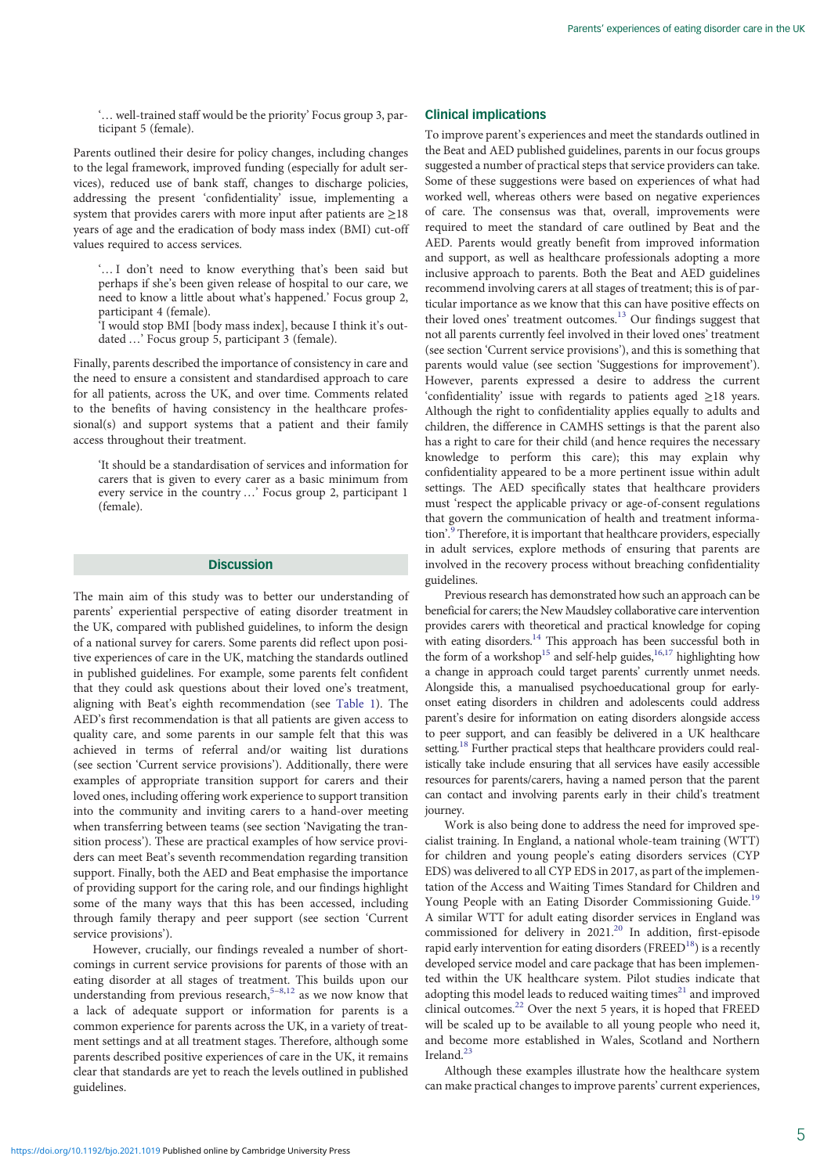'… well-trained staff would be the priority' Focus group 3, participant 5 (female).

Parents outlined their desire for policy changes, including changes to the legal framework, improved funding (especially for adult services), reduced use of bank staff, changes to discharge policies, addressing the present 'confidentiality' issue, implementing a system that provides carers with more input after patients are  $\geq$ 18 years of age and the eradication of body mass index (BMI) cut-off values required to access services.

'… I don't need to know everything that's been said but perhaps if she's been given release of hospital to our care, we need to know a little about what's happened.' Focus group 2, participant 4 (female).

'I would stop BMI [body mass index], because I think it's outdated …' Focus group 5, participant 3 (female).

Finally, parents described the importance of consistency in care and the need to ensure a consistent and standardised approach to care for all patients, across the UK, and over time. Comments related to the benefits of having consistency in the healthcare professional(s) and support systems that a patient and their family access throughout their treatment.

'It should be a standardisation of services and information for carers that is given to every carer as a basic minimum from every service in the country …' Focus group 2, participant 1 (female).

# **Discussion**

The main aim of this study was to better our understanding of parents' experiential perspective of eating disorder treatment in the UK, compared with published guidelines, to inform the design of a national survey for carers. Some parents did reflect upon positive experiences of care in the UK, matching the standards outlined in published guidelines. For example, some parents felt confident that they could ask questions about their loved one's treatment, aligning with Beat's eighth recommendation (see [Table 1](#page-1-0)). The AED's first recommendation is that all patients are given access to quality care, and some parents in our sample felt that this was achieved in terms of referral and/or waiting list durations (see section 'Current service provisions'). Additionally, there were examples of appropriate transition support for carers and their loved ones, including offering work experience to support transition into the community and inviting carers to a hand-over meeting when transferring between teams (see section 'Navigating the transition process'). These are practical examples of how service providers can meet Beat's seventh recommendation regarding transition support. Finally, both the AED and Beat emphasise the importance of providing support for the caring role, and our findings highlight some of the many ways that this has been accessed, including through family therapy and peer support (see section 'Current service provisions').

However, crucially, our findings revealed a number of shortcomings in current service provisions for parents of those with an eating disorder at all stages of treatment. This builds upon our understanding from previous research, $5-8,12$  $5-8,12$  $5-8,12$  $5-8,12$  $5-8,12$  as we now know that a lack of adequate support or information for parents is a common experience for parents across the UK, in a variety of treatment settings and at all treatment stages. Therefore, although some parents described positive experiences of care in the UK, it remains clear that standards are yet to reach the levels outlined in published guidelines.

# Clinical implications

To improve parent's experiences and meet the standards outlined in the Beat and AED published guidelines, parents in our focus groups suggested a number of practical steps that service providers can take. Some of these suggestions were based on experiences of what had worked well, whereas others were based on negative experiences of care. The consensus was that, overall, improvements were required to meet the standard of care outlined by Beat and the AED. Parents would greatly benefit from improved information and support, as well as healthcare professionals adopting a more inclusive approach to parents. Both the Beat and AED guidelines recommend involving carers at all stages of treatment; this is of particular importance as we know that this can have positive effects on their loved ones' treatment outcomes[.13](#page-6-0) Our findings suggest that not all parents currently feel involved in their loved ones' treatment (see section 'Current service provisions'), and this is something that parents would value (see section 'Suggestions for improvement'). However, parents expressed a desire to address the current 'confidentiality' issue with regards to patients aged ≥18 years. Although the right to confidentiality applies equally to adults and children, the difference in CAMHS settings is that the parent also has a right to care for their child (and hence requires the necessary knowledge to perform this care); this may explain why confidentiality appeared to be a more pertinent issue within adult settings. The AED specifically states that healthcare providers must 'respect the applicable privacy or age-of-consent regulations that govern the communication of health and treatment informa-tion'.<sup>[9](#page-6-0)</sup> Therefore, it is important that healthcare providers, especially in adult services, explore methods of ensuring that parents are involved in the recovery process without breaching confidentiality guidelines.

Previous research has demonstrated how such an approach can be beneficial for carers; the New Maudsley collaborative care intervention provides carers with theoretical and practical knowledge for coping with eating disorders.<sup>14</sup> This approach has been successful both in the form of a workshop<sup>15</sup> and self-help guides,<sup>16,17</sup> highlighting how a change in approach could target parents' currently unmet needs. Alongside this, a manualised psychoeducational group for earlyonset eating disorders in children and adolescents could address parent's desire for information on eating disorders alongside access to peer support, and can feasibly be delivered in a UK healthcare setting.<sup>18</sup> Further practical steps that healthcare providers could realistically take include ensuring that all services have easily accessible resources for parents/carers, having a named person that the parent can contact and involving parents early in their child's treatment journey.

Work is also being done to address the need for improved specialist training. In England, a national whole-team training (WTT) for children and young people's eating disorders services (CYP EDS) was delivered to all CYP EDS in 2017, as part of the implementation of the Access and Waiting Times Standard for Children and Young People with an Eating Disorder Commissioning Guide.<sup>[19](#page-6-0)</sup> A similar WTT for adult eating disorder services in England was commissioned for delivery in [20](#page-6-0)21.<sup>20</sup> In addition, first-episode rapid early intervention for eating disorders ( $\text{FREED}^{18}$ ) is a recently developed service model and care package that has been implemented within the UK healthcare system. Pilot studies indicate that adopting this model leads to reduced waiting times $^{21}$  $^{21}$  $^{21}$  and improved clinical outcomes.<sup>[22](#page-6-0)</sup> Over the next 5 years, it is hoped that FREED will be scaled up to be available to all young people who need it, and become more established in Wales, Scotland and Northern Ireland.<sup>[23](#page-6-0)</sup>

Although these examples illustrate how the healthcare system can make practical changes to improve parents' current experiences,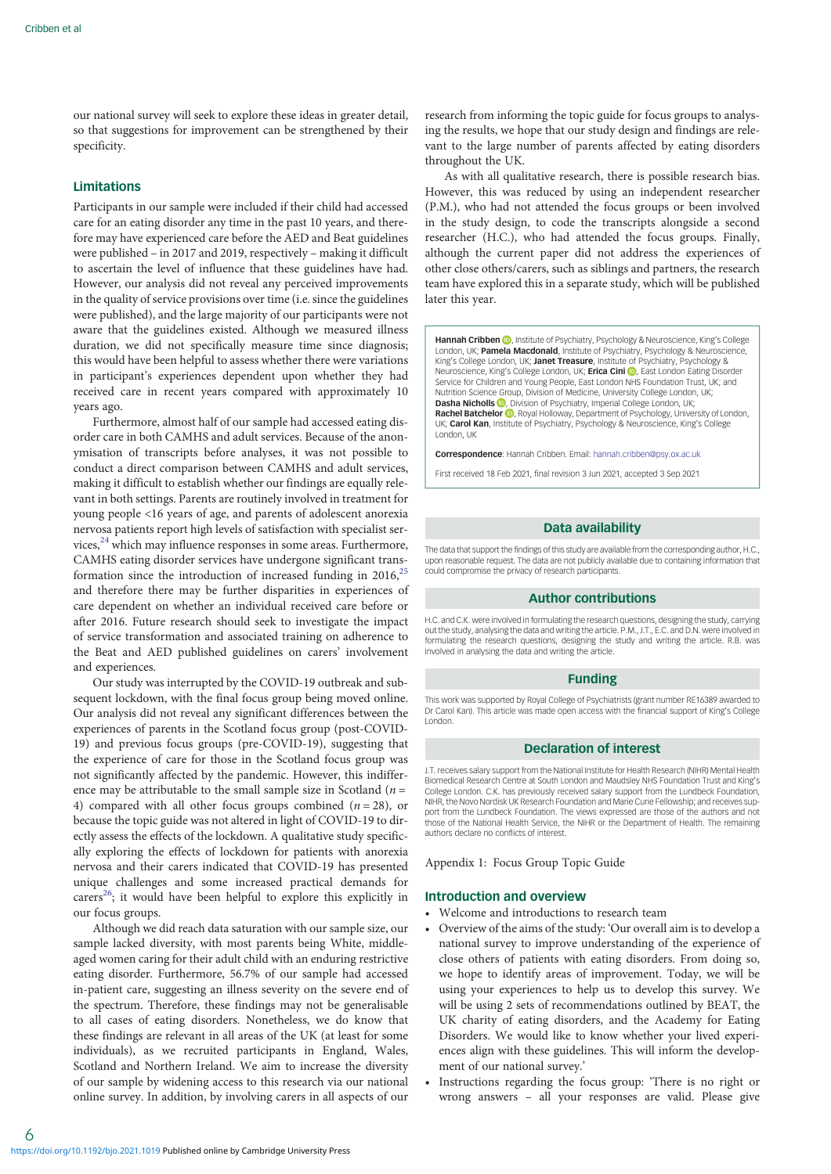our national survey will seek to explore these ideas in greater detail, so that suggestions for improvement can be strengthened by their specificity.

# Limitations

Participants in our sample were included if their child had accessed care for an eating disorder any time in the past 10 years, and therefore may have experienced care before the AED and Beat guidelines were published – in 2017 and 2019, respectively – making it difficult to ascertain the level of influence that these guidelines have had. However, our analysis did not reveal any perceived improvements in the quality of service provisions over time (i.e. since the guidelines were published), and the large majority of our participants were not aware that the guidelines existed. Although we measured illness duration, we did not specifically measure time since diagnosis; this would have been helpful to assess whether there were variations in participant's experiences dependent upon whether they had received care in recent years compared with approximately 10 years ago.

Furthermore, almost half of our sample had accessed eating disorder care in both CAMHS and adult services. Because of the anonymisation of transcripts before analyses, it was not possible to conduct a direct comparison between CAMHS and adult services, making it difficult to establish whether our findings are equally relevant in both settings. Parents are routinely involved in treatment for young people <16 years of age, and parents of adolescent anorexia nervosa patients report high levels of satisfaction with specialist services, $^{24}$  $^{24}$  $^{24}$  which may influence responses in some areas. Furthermore, CAMHS eating disorder services have undergone significant transformation since the introduction of increased funding in  $2016$ ,  $25$ and therefore there may be further disparities in experiences of care dependent on whether an individual received care before or after 2016. Future research should seek to investigate the impact of service transformation and associated training on adherence to the Beat and AED published guidelines on carers' involvement and experiences.

Our study was interrupted by the COVID-19 outbreak and subsequent lockdown, with the final focus group being moved online. Our analysis did not reveal any significant differences between the experiences of parents in the Scotland focus group (post-COVID-19) and previous focus groups (pre-COVID-19), suggesting that the experience of care for those in the Scotland focus group was not significantly affected by the pandemic. However, this indifference may be attributable to the small sample size in Scotland ( $n =$ 4) compared with all other focus groups combined  $(n = 28)$ , or because the topic guide was not altered in light of COVID-19 to directly assess the effects of the lockdown. A qualitative study specifically exploring the effects of lockdown for patients with anorexia nervosa and their carers indicated that COVID-19 has presented unique challenges and some increased practical demands for carers<sup>[26](#page-6-0)</sup>; it would have been helpful to explore this explicitly in our focus groups.

Although we did reach data saturation with our sample size, our sample lacked diversity, with most parents being White, middleaged women caring for their adult child with an enduring restrictive eating disorder. Furthermore, 56.7% of our sample had accessed in-patient care, suggesting an illness severity on the severe end of the spectrum. Therefore, these findings may not be generalisable to all cases of eating disorders. Nonetheless, we do know that these findings are relevant in all areas of the UK (at least for some individuals), as we recruited participants in England, Wales, Scotland and Northern Ireland. We aim to increase the diversity of our sample by widening access to this research via our national online survey. In addition, by involving carers in all aspects of our

research from informing the topic guide for focus groups to analysing the results, we hope that our study design and findings are relevant to the large number of parents affected by eating disorders throughout the UK.

As with all qualitative research, there is possible research bias. However, this was reduced by using an independent researcher (P.M.), who had not attended the focus groups or been involved in the study design, to code the transcripts alongside a second researcher (H.C.), who had attended the focus groups. Finally, although the current paper did not address the experiences of other close others/carers, such as siblings and partners, the research team have explored this in a separate study, which will be published later this year.

Hannah Cribben **D**[,](https://orcid.org/0000-0001-6810-8251) Institute of Psychiatry, Psychology & Neuroscience, King's College London, UK; Pamela Macdonald, Institute of Psychiatry, Psychology & Neuroscience, King's College London, UK; Janet Treasure, Institute of Psychiatry, Psychology & Neuroscience, King's College London, UK; Erica Cini (D), East London Eating Disorder Service for Children and Young People, East London NHS Foundation Trust, UK; and Nutrition Science Group, Division of Medicine, University College London, UK; Dasha Nicholls **D**[,](https://orcid.org/0000-0001-7257-6605) Division of Psychiatry, Imperial College London, UK; Rachel Batchelor (D), Royal Holloway, Department of Psychology, University of London, UK; Carol Kan, Institute of Psychiatry, Psychology & Neuroscience, King's College London, UK

Correspondence: Hannah Cribben. Email: [hannah.cribben@psy.ox.ac.uk](mailto:hannah.cribben@psy.ox.ac.uk)

First received 18 Feb 2021, final revision 3 Jun 2021, accepted 3 Sep 2021

# Data availability

The data that support the findings of this study are available from the corresponding author. H.C. upon reasonable request. The data are not publicly available due to containing information that could compromise the privacy of research participants.

#### Author contributions

H.C. and C.K. were involved in formulating the research questions, designing the study, carrying out the study, analysing the data and writing the article. P.M., J.T., E.C. and D.N. were involved in formulating the research questions, designing the study and writing the article. R.B. was involved in analysing the data and writing the article.

#### Funding

This work was supported by Royal College of Psychiatrists (grant number RE16389 awarded to Dr Carol Kan). This article was made open access with the financial support of King's College London.

# Declaration of interest

J.T. receives salary support from the National Institute for Health Research (NIHR) Mental Health Biomedical Research Centre at South London and Maudsley NHS Foundation Trust and King's College London. C.K. has previously received salary support from the Lundbeck Foundation, NIHR, the Novo Nordisk UK Research Foundation and Marie Curie Fellowship; and receives support from the Lundbeck Foundation. The views expressed are those of the authors and not those of the National Health Service, the NIHR or the Department of Health. The remaining authors declare no conflicts of interest.

Appendix 1: Focus Group Topic Guide

#### Introduction and overview

- Welcome and introductions to research team
- Overview of the aims of the study: 'Our overall aim is to develop a national survey to improve understanding of the experience of close others of patients with eating disorders. From doing so, we hope to identify areas of improvement. Today, we will be using your experiences to help us to develop this survey. We will be using 2 sets of recommendations outlined by BEAT, the UK charity of eating disorders, and the Academy for Eating Disorders. We would like to know whether your lived experiences align with these guidelines. This will inform the development of our national survey.'
- Instructions regarding the focus group: 'There is no right or wrong answers – all your responses are valid. Please give